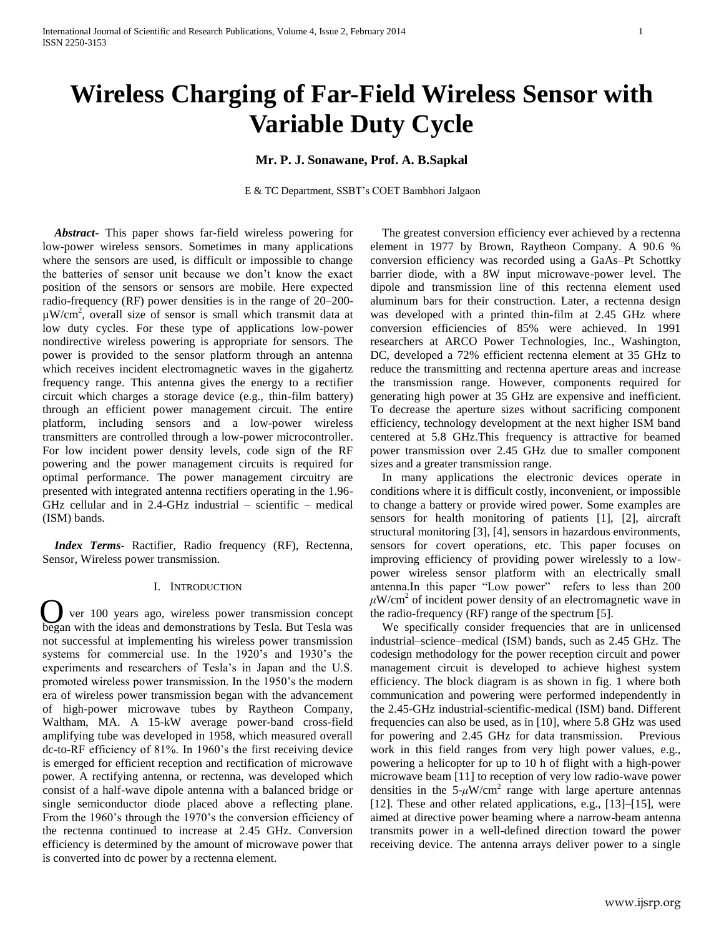# **Wireless Charging of Far-Field Wireless Sensor with Variable Duty Cycle**

**Mr. P. J. Sonawane, Prof. A. B.Sapkal**

E & TC Department, SSBT's COET Bambhori Jalgaon

 *Abstract***-** This paper shows far-field wireless powering for low-power wireless sensors. Sometimes in many applications where the sensors are used, is difficult or impossible to change the batteries of sensor unit because we don't know the exact position of the sensors or sensors are mobile. Here expected radio-frequency (RF) power densities is in the range of 20–200-  $\mu$ W/cm<sup>2</sup>, overall size of sensor is small which transmit data at low duty cycles. For these type of applications low-power nondirective wireless powering is appropriate for sensors. The power is provided to the sensor platform through an antenna which receives incident electromagnetic waves in the gigahertz frequency range. This antenna gives the energy to a rectifier circuit which charges a storage device (e.g., thin-film battery) through an efficient power management circuit. The entire platform, including sensors and a low-power wireless transmitters are controlled through a low-power microcontroller. For low incident power density levels, code sign of the RF powering and the power management circuits is required for optimal performance. The power management circuitry are presented with integrated antenna rectifiers operating in the 1.96- GHz cellular and in 2.4-GHz industrial – scientific – medical (ISM) bands.

 *Index Terms*- Ractifier, Radio frequency (RF), Rectenna, Sensor, Wireless power transmission.

## I. INTRODUCTION

O began with the ideas and demonstrations by Tesla. But Tesla was ver 100 years ago, wireless power transmission concept not successful at implementing his wireless power transmission systems for commercial use. In the 1920's and 1930's the experiments and researchers of Tesla's in Japan and the U.S. promoted wireless power transmission. In the 1950's the modern era of wireless power transmission began with the advancement of high-power microwave tubes by Raytheon Company, Waltham, MA. A 15-kW average power-band cross-field amplifying tube was developed in 1958, which measured overall dc-to-RF efficiency of 81%. In 1960's the first receiving device is emerged for efficient reception and rectification of microwave power. A rectifying antenna, or rectenna, was developed which consist of a half-wave dipole antenna with a balanced bridge or single semiconductor diode placed above a reflecting plane. From the 1960's through the 1970's the conversion efficiency of the rectenna continued to increase at 2.45 GHz. Conversion efficiency is determined by the amount of microwave power that is converted into dc power by a rectenna element.

 The greatest conversion efficiency ever achieved by a rectenna element in 1977 by Brown, Raytheon Company. A 90.6 % conversion efficiency was recorded using a GaAs–Pt Schottky barrier diode, with a 8W input microwave-power level. The dipole and transmission line of this rectenna element used aluminum bars for their construction. Later, a rectenna design was developed with a printed thin-film at 2.45 GHz where conversion efficiencies of 85% were achieved. In 1991 researchers at ARCO Power Technologies, Inc., Washington, DC, developed a 72% efficient rectenna element at 35 GHz to reduce the transmitting and rectenna aperture areas and increase the transmission range. However, components required for generating high power at 35 GHz are expensive and inefficient. To decrease the aperture sizes without sacrificing component efficiency, technology development at the next higher ISM band centered at 5.8 GHz.This frequency is attractive for beamed power transmission over 2.45 GHz due to smaller component sizes and a greater transmission range.

 In many applications the electronic devices operate in conditions where it is difficult costly, inconvenient, or impossible to change a battery or provide wired power. Some examples are sensors for health monitoring of patients [1], [2], aircraft structural monitoring [3], [4], sensors in hazardous environments, sensors for covert operations, etc. This paper focuses on improving efficiency of providing power wirelessly to a lowpower wireless sensor platform with an electrically small antenna.In this paper "Low power" refers to less than 200  $\mu$ W/cm<sup>2</sup> of incident power density of an electromagnetic wave in the radio-frequency (RF) range of the spectrum [5].

 We specifically consider frequencies that are in unlicensed industrial–science–medical (ISM) bands, such as 2.45 GHz. The codesign methodology for the power reception circuit and power management circuit is developed to achieve highest system efficiency. The block diagram is as shown in fig. 1 where both communication and powering were performed independently in the 2.45-GHz industrial-scientific-medical (ISM) band. Different frequencies can also be used, as in [10], where 5.8 GHz was used for powering and 2.45 GHz for data transmission. Previous work in this field ranges from very high power values, e.g., powering a helicopter for up to 10 h of flight with a high-power microwave beam [11] to reception of very low radio-wave power densities in the  $5-\mu W/cm^2$  range with large aperture antennas [12]. These and other related applications, e.g., [13]–[15], were aimed at directive power beaming where a narrow-beam antenna transmits power in a well-defined direction toward the power receiving device. The antenna arrays deliver power to a single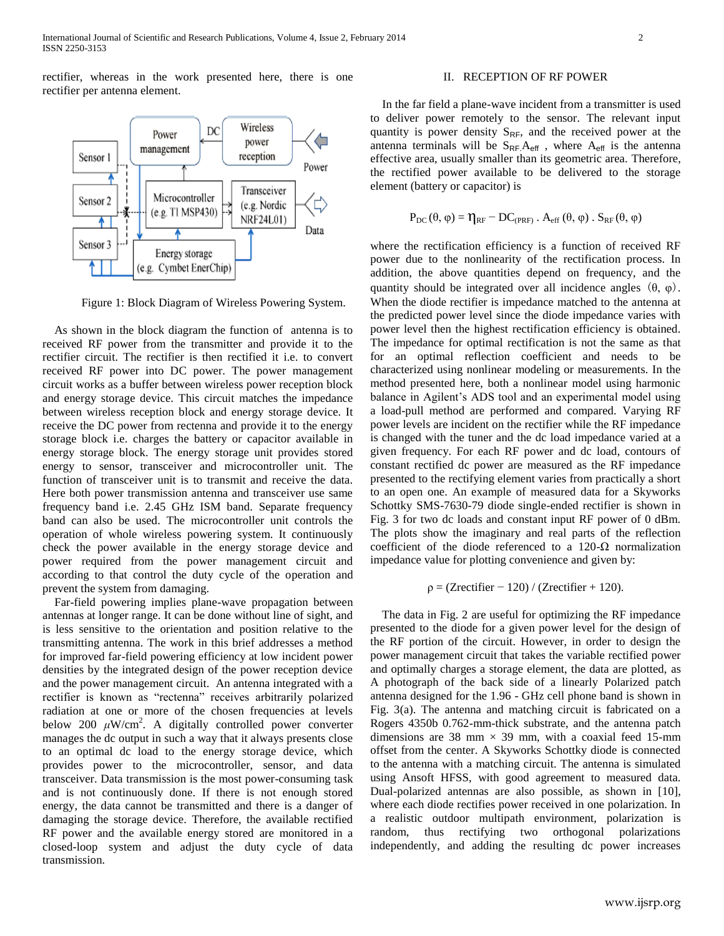rectifier, whereas in the work presented here, there is one rectifier per antenna element.



Figure 1: Block Diagram of Wireless Powering System.

 As shown in the block diagram the function of antenna is to received RF power from the transmitter and provide it to the rectifier circuit. The rectifier is then rectified it i.e. to convert received RF power into DC power. The power management circuit works as a buffer between wireless power reception block and energy storage device. This circuit matches the impedance between wireless reception block and energy storage device. It receive the DC power from rectenna and provide it to the energy storage block i.e. charges the battery or capacitor available in energy storage block. The energy storage unit provides stored energy to sensor, transceiver and microcontroller unit. The function of transceiver unit is to transmit and receive the data. Here both power transmission antenna and transceiver use same frequency band i.e. 2.45 GHz ISM band. Separate frequency band can also be used. The microcontroller unit controls the operation of whole wireless powering system. It continuously check the power available in the energy storage device and power required from the power management circuit and according to that control the duty cycle of the operation and prevent the system from damaging.

Far-field powering implies plane-wave propagation between antennas at longer range. It can be done without line of sight, and is less sensitive to the orientation and position relative to the transmitting antenna. The work in this brief addresses a method for improved far-field powering efficiency at low incident power densities by the integrated design of the power reception device and the power management circuit. An antenna integrated with a rectifier is known as "rectenna" receives arbitrarily polarized radiation at one or more of the chosen frequencies at levels below 200  $\mu$ W/cm<sup>2</sup>. A digitally controlled power converter manages the dc output in such a way that it always presents close to an optimal dc load to the energy storage device, which provides power to the microcontroller, sensor, and data transceiver. Data transmission is the most power-consuming task and is not continuously done. If there is not enough stored energy, the data cannot be transmitted and there is a danger of damaging the storage device. Therefore, the available rectified RF power and the available energy stored are monitored in a closed-loop system and adjust the duty cycle of data transmission.

# II. RECEPTION OF RF POWER

 In the far field a plane-wave incident from a transmitter is used to deliver power remotely to the sensor. The relevant input quantity is power density  $S_{RF}$ , and the received power at the antenna terminals will be  $S_{RF}A_{\text{eff}}$ , where  $A_{\text{eff}}$  is the antenna effective area, usually smaller than its geometric area. Therefore, the rectified power available to be delivered to the storage element (battery or capacitor) is

$$
P_{DC}(\theta, \varphi) = \eta_{RF} - DC_{(PRF)} \cdot A_{eff}(\theta, \varphi) \cdot S_{RF}(\theta, \varphi)
$$

where the rectification efficiency is a function of received RF power due to the nonlinearity of the rectification process. In addition, the above quantities depend on frequency, and the quantity should be integrated over all incidence angles (θ, φ)*.* When the diode rectifier is impedance matched to the antenna at the predicted power level since the diode impedance varies with power level then the highest rectification efficiency is obtained. The impedance for optimal rectification is not the same as that for an optimal reflection coefficient and needs to be characterized using nonlinear modeling or measurements. In the method presented here, both a nonlinear model using harmonic balance in Agilent's ADS tool and an experimental model using a load-pull method are performed and compared. Varying RF power levels are incident on the rectifier while the RF impedance is changed with the tuner and the dc load impedance varied at a given frequency. For each RF power and dc load, contours of constant rectified dc power are measured as the RF impedance presented to the rectifying element varies from practically a short to an open one. An example of measured data for a Skyworks Schottky SMS-7630-79 diode single-ended rectifier is shown in Fig. 3 for two dc loads and constant input RF power of 0 dBm. The plots show the imaginary and real parts of the reflection coefficient of the diode referenced to a 120-Ω normalization impedance value for plotting convenience and given by:

$$
\rho = (Zrectifier - 120) / (Zrectifier + 120).
$$

 The data in Fig. 2 are useful for optimizing the RF impedance presented to the diode for a given power level for the design of the RF portion of the circuit. However, in order to design the power management circuit that takes the variable rectified power and optimally charges a storage element, the data are plotted, as A photograph of the back side of a linearly Polarized patch antenna designed for the 1.96 - GHz cell phone band is shown in Fig. 3(a). The antenna and matching circuit is fabricated on a Rogers 4350b 0.762-mm-thick substrate, and the antenna patch dimensions are 38 mm  $\times$  39 mm, with a coaxial feed 15-mm offset from the center. A Skyworks Schottky diode is connected to the antenna with a matching circuit. The antenna is simulated using Ansoft HFSS, with good agreement to measured data. Dual-polarized antennas are also possible, as shown in [10], where each diode rectifies power received in one polarization. In a realistic outdoor multipath environment, polarization is random, thus rectifying two orthogonal polarizations independently, and adding the resulting dc power increases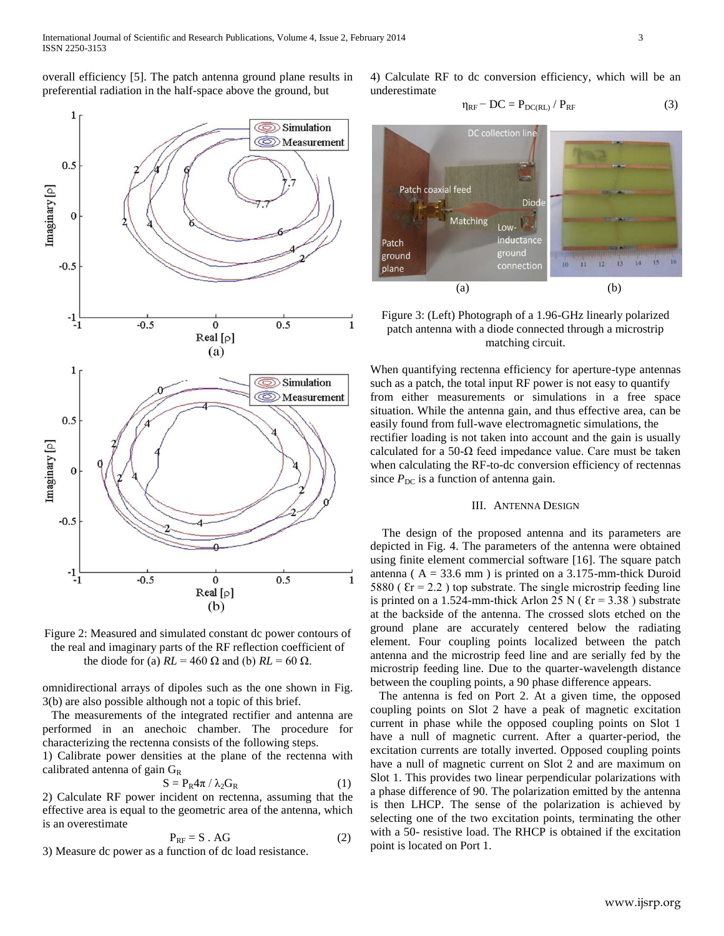overall efficiency [5]. The patch antenna ground plane results in preferential radiation in the half-space above the ground, but



Figure 2: Measured and simulated constant dc power contours of the real and imaginary parts of the RF reflection coefficient of the diode for (a)  $RL = 460 \Omega$  and (b)  $RL = 60 \Omega$ .

omnidirectional arrays of dipoles such as the one shown in Fig. 3(b) are also possible although not a topic of this brief.

 The measurements of the integrated rectifier and antenna are performed in an anechoic chamber. The procedure for characterizing the rectenna consists of the following steps.

1) Calibrate power densities at the plane of the rectenna with calibrated antenna of gain  $G_R$ 

$$
S = P_R 4\pi / \lambda_2 G_R \tag{1}
$$

2) Calculate RF power incident on rectenna, assuming that the effective area is equal to the geometric area of the antenna, which is an overestimate

$$
P_{RF} = S \cdot AG \tag{2}
$$

3) Measure dc power as a function of dc load resistance.

4) Calculate RF to dc conversion efficiency, which will be an underestimate

$$
\eta_{RF} - DC = P_{DC(RL)} / P_{RF}
$$
 (3)



# Figure 3: (Left) Photograph of a 1.96-GHz linearly polarized patch antenna with a diode connected through a microstrip matching circuit.

When quantifying rectenna efficiency for aperture-type antennas such as a patch, the total input RF power is not easy to quantify from either measurements or simulations in a free space situation. While the antenna gain, and thus effective area, can be easily found from full-wave electromagnetic simulations, the rectifier loading is not taken into account and the gain is usually calculated for a 50- $\Omega$  feed impedance value. Care must be taken when calculating the RF-to-dc conversion efficiency of rectennas since  $P_{\text{DC}}$  is a function of antenna gain.

# III. ANTENNA DESIGN

 The design of the proposed antenna and its parameters are depicted in Fig. 4. The parameters of the antenna were obtained using finite element commercial software [16]. The square patch antenna ( $A = 33.6$  mm) is printed on a 3.175-mm-thick Duroid 5880 ( $\text{Er} = 2.2$ ) top substrate. The single microstrip feeding line is printed on a 1.524-mm-thick Arlon 25 N ( $\text{Er} = 3.38$ ) substrate at the backside of the antenna. The crossed slots etched on the ground plane are accurately centered below the radiating element. Four coupling points localized between the patch antenna and the microstrip feed line and are serially fed by the microstrip feeding line. Due to the quarter-wavelength distance between the coupling points, a 90 phase difference appears.

 The antenna is fed on Port 2. At a given time, the opposed coupling points on Slot 2 have a peak of magnetic excitation current in phase while the opposed coupling points on Slot 1 have a null of magnetic current. After a quarter-period, the excitation currents are totally inverted. Opposed coupling points have a null of magnetic current on Slot 2 and are maximum on Slot 1. This provides two linear perpendicular polarizations with a phase difference of 90. The polarization emitted by the antenna is then LHCP. The sense of the polarization is achieved by selecting one of the two excitation points, terminating the other with a 50- resistive load. The RHCP is obtained if the excitation point is located on Port 1.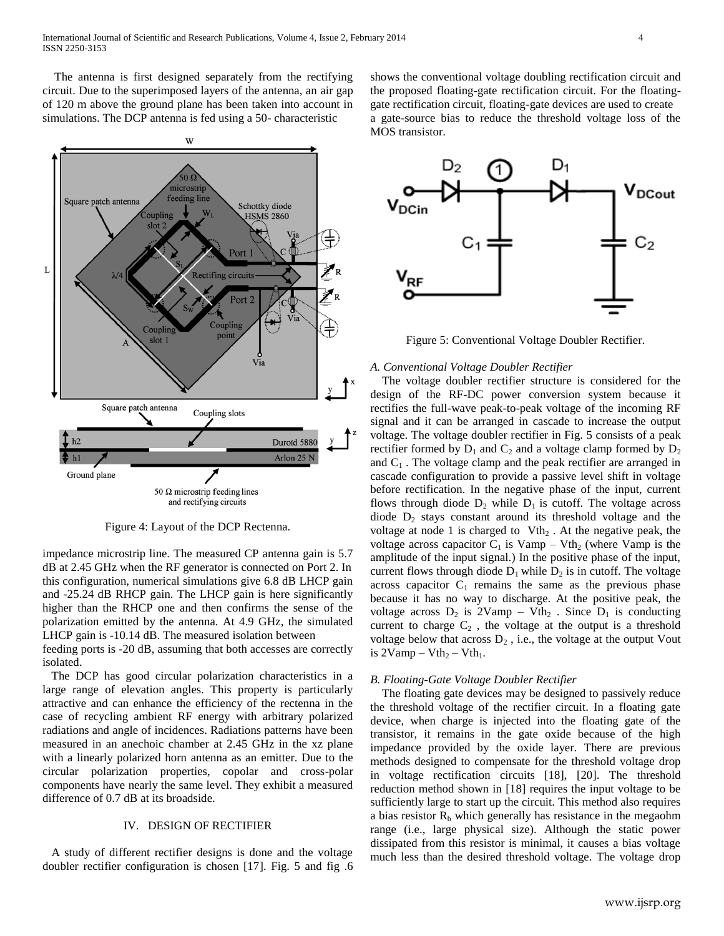The antenna is first designed separately from the rectifying circuit. Due to the superimposed layers of the antenna, an air gap of 120 m above the ground plane has been taken into account in simulations. The DCP antenna is fed using a 50- characteristic



Figure 4: Layout of the DCP Rectenna.

impedance microstrip line. The measured CP antenna gain is 5.7 dB at 2.45 GHz when the RF generator is connected on Port 2. In this configuration, numerical simulations give 6.8 dB LHCP gain and -25.24 dB RHCP gain. The LHCP gain is here significantly higher than the RHCP one and then confirms the sense of the polarization emitted by the antenna. At 4.9 GHz, the simulated LHCP gain is -10.14 dB. The measured isolation between

feeding ports is -20 dB, assuming that both accesses are correctly isolated.

 The DCP has good circular polarization characteristics in a large range of elevation angles. This property is particularly attractive and can enhance the efficiency of the rectenna in the case of recycling ambient RF energy with arbitrary polarized radiations and angle of incidences. Radiations patterns have been measured in an anechoic chamber at 2.45 GHz in the xz plane with a linearly polarized horn antenna as an emitter. Due to the circular polarization properties, copolar and cross-polar components have nearly the same level. They exhibit a measured difference of 0.7 dB at its broadside.

# IV. DESIGN OF RECTIFIER

 A study of different rectifier designs is done and the voltage doubler rectifier configuration is chosen [17]. Fig. 5 and fig .6

shows the conventional voltage doubling rectification circuit and the proposed floating-gate rectification circuit. For the floatinggate rectification circuit, floating-gate devices are used to create a gate-source bias to reduce the threshold voltage loss of the MOS transistor.



Figure 5: Conventional Voltage Doubler Rectifier.

#### *A. Conventional Voltage Doubler Rectifier*

 The voltage doubler rectifier structure is considered for the design of the RF-DC power conversion system because it rectifies the full-wave peak-to-peak voltage of the incoming RF signal and it can be arranged in cascade to increase the output voltage. The voltage doubler rectifier in Fig. 5 consists of a peak rectifier formed by  $D_1$  and  $C_2$  and a voltage clamp formed by  $D_2$ and  $C_1$ . The voltage clamp and the peak rectifier are arranged in cascade configuration to provide a passive level shift in voltage before rectification. In the negative phase of the input, current flows through diode  $D_2$  while  $D_1$  is cutoff. The voltage across diode  $D_2$  stays constant around its threshold voltage and the voltage at node 1 is charged to  $Vth<sub>2</sub>$ . At the negative peak, the voltage across capacitor  $C_1$  is Vamp – Vth<sub>2</sub> (where Vamp is the amplitude of the input signal.) In the positive phase of the input, current flows through diode  $D_1$  while  $D_2$  is in cutoff. The voltage across capacitor  $C_1$  remains the same as the previous phase because it has no way to discharge. At the positive peak, the voltage across  $D_2$  is  $2Vamp - Vth_2$ . Since  $D_1$  is conducting current to charge  $C_2$ , the voltage at the output is a threshold voltage below that across  $D_2$ , i.e., the voltage at the output Vout is  $2Vamp - Vth<sub>2</sub> - Vth<sub>1</sub>$ .

## *B. Floating-Gate Voltage Doubler Rectifier*

 The floating gate devices may be designed to passively reduce the threshold voltage of the rectifier circuit. In a floating gate device, when charge is injected into the floating gate of the transistor, it remains in the gate oxide because of the high impedance provided by the oxide layer. There are previous methods designed to compensate for the threshold voltage drop in voltage rectification circuits [18], [20]. The threshold reduction method shown in [18] requires the input voltage to be sufficiently large to start up the circuit. This method also requires a bias resistor  $R<sub>b</sub>$  which generally has resistance in the megaohm range (i.e., large physical size). Although the static power dissipated from this resistor is minimal, it causes a bias voltage much less than the desired threshold voltage. The voltage drop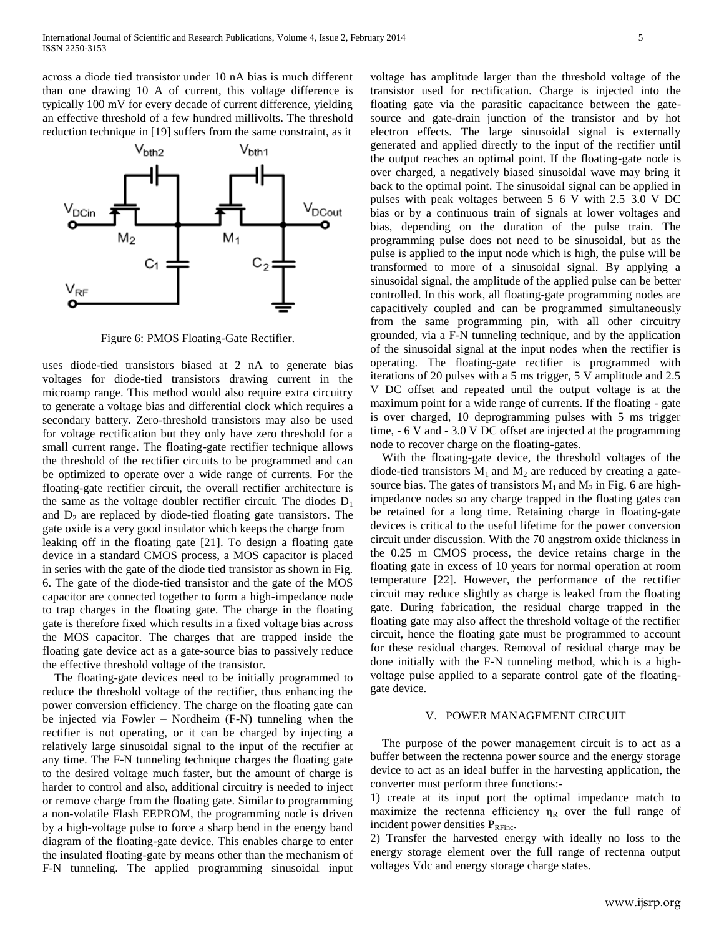across a diode tied transistor under 10 nA bias is much different than one drawing 10 A of current, this voltage difference is typically 100 mV for every decade of current difference, yielding an effective threshold of a few hundred millivolts. The threshold reduction technique in [19] suffers from the same constraint, as it



Figure 6: PMOS Floating-Gate Rectifier.

uses diode-tied transistors biased at 2 nA to generate bias voltages for diode-tied transistors drawing current in the microamp range. This method would also require extra circuitry to generate a voltage bias and differential clock which requires a secondary battery. Zero-threshold transistors may also be used for voltage rectification but they only have zero threshold for a small current range. The floating-gate rectifier technique allows the threshold of the rectifier circuits to be programmed and can be optimized to operate over a wide range of currents. For the floating-gate rectifier circuit, the overall rectifier architecture is the same as the voltage doubler rectifier circuit. The diodes  $D_1$ and  $D_2$  are replaced by diode-tied floating gate transistors. The gate oxide is a very good insulator which keeps the charge from leaking off in the floating gate [21]. To design a floating gate device in a standard CMOS process, a MOS capacitor is placed in series with the gate of the diode tied transistor as shown in Fig. 6. The gate of the diode-tied transistor and the gate of the MOS capacitor are connected together to form a high-impedance node to trap charges in the floating gate. The charge in the floating gate is therefore fixed which results in a fixed voltage bias across the MOS capacitor. The charges that are trapped inside the floating gate device act as a gate-source bias to passively reduce the effective threshold voltage of the transistor.

 The floating-gate devices need to be initially programmed to reduce the threshold voltage of the rectifier, thus enhancing the power conversion efficiency. The charge on the floating gate can be injected via Fowler – Nordheim (F-N) tunneling when the rectifier is not operating, or it can be charged by injecting a relatively large sinusoidal signal to the input of the rectifier at any time. The F-N tunneling technique charges the floating gate to the desired voltage much faster, but the amount of charge is harder to control and also, additional circuitry is needed to inject or remove charge from the floating gate. Similar to programming a non-volatile Flash EEPROM, the programming node is driven by a high-voltage pulse to force a sharp bend in the energy band diagram of the floating-gate device. This enables charge to enter the insulated floating-gate by means other than the mechanism of F-N tunneling. The applied programming sinusoidal input

voltage has amplitude larger than the threshold voltage of the transistor used for rectification. Charge is injected into the floating gate via the parasitic capacitance between the gatesource and gate-drain junction of the transistor and by hot electron effects. The large sinusoidal signal is externally generated and applied directly to the input of the rectifier until the output reaches an optimal point. If the floating-gate node is over charged, a negatively biased sinusoidal wave may bring it back to the optimal point. The sinusoidal signal can be applied in pulses with peak voltages between 5–6 V with 2.5–3.0 V DC bias or by a continuous train of signals at lower voltages and bias, depending on the duration of the pulse train. The programming pulse does not need to be sinusoidal, but as the pulse is applied to the input node which is high, the pulse will be transformed to more of a sinusoidal signal. By applying a sinusoidal signal, the amplitude of the applied pulse can be better controlled. In this work, all floating-gate programming nodes are capacitively coupled and can be programmed simultaneously from the same programming pin, with all other circuitry grounded, via a F-N tunneling technique, and by the application of the sinusoidal signal at the input nodes when the rectifier is operating. The floating-gate rectifier is programmed with iterations of 20 pulses with a 5 ms trigger, 5 V amplitude and 2.5 V DC offset and repeated until the output voltage is at the maximum point for a wide range of currents. If the floating - gate is over charged, 10 deprogramming pulses with 5 ms trigger time, - 6 V and - 3.0 V DC offset are injected at the programming node to recover charge on the floating-gates.

 With the floating-gate device, the threshold voltages of the diode-tied transistors  $M_1$  and  $M_2$  are reduced by creating a gatesource bias. The gates of transistors  $M_1$  and  $M_2$  in Fig. 6 are highimpedance nodes so any charge trapped in the floating gates can be retained for a long time. Retaining charge in floating-gate devices is critical to the useful lifetime for the power conversion circuit under discussion. With the 70 angstrom oxide thickness in the 0.25 m CMOS process, the device retains charge in the floating gate in excess of 10 years for normal operation at room temperature [22]. However, the performance of the rectifier circuit may reduce slightly as charge is leaked from the floating gate. During fabrication, the residual charge trapped in the floating gate may also affect the threshold voltage of the rectifier circuit, hence the floating gate must be programmed to account for these residual charges. Removal of residual charge may be done initially with the F-N tunneling method, which is a highvoltage pulse applied to a separate control gate of the floatinggate device.

# V. POWER MANAGEMENT CIRCUIT

 The purpose of the power management circuit is to act as a buffer between the rectenna power source and the energy storage device to act as an ideal buffer in the harvesting application, the converter must perform three functions:-

1) create at its input port the optimal impedance match to maximize the rectenna efficiency  $\eta_R$  over the full range of incident power densities PRFinc.

2) Transfer the harvested energy with ideally no loss to the energy storage element over the full range of rectenna output voltages Vdc and energy storage charge states.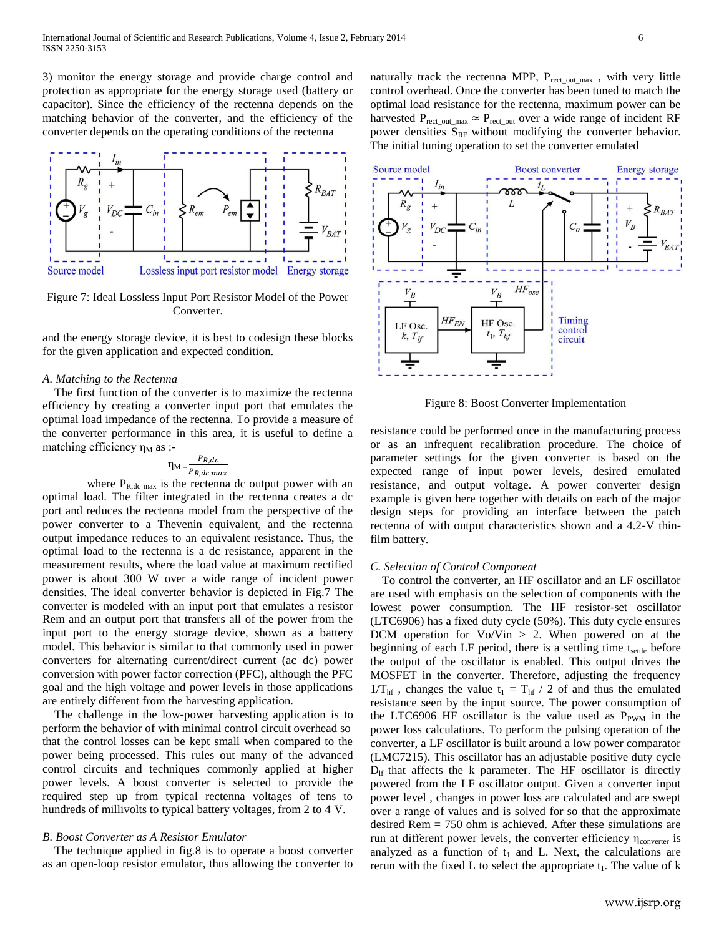3) monitor the energy storage and provide charge control and protection as appropriate for the energy storage used (battery or capacitor). Since the efficiency of the rectenna depends on the matching behavior of the converter, and the efficiency of the converter depends on the operating conditions of the rectenna



Figure 7: Ideal Lossless Input Port Resistor Model of the Power Converter.

and the energy storage device, it is best to codesign these blocks for the given application and expected condition.

## *A. Matching to the Rectenna*

 The first function of the converter is to maximize the rectenna efficiency by creating a converter input port that emulates the optimal load impedance of the rectenna. To provide a measure of the converter performance in this area, it is useful to define a matching efficiency  $\eta_M$  as :-

$$
\eta_{\text{M}} = \frac{P_{R,dc}}{P_{R,dc} \max}
$$

where  $P_{R,dc \, max}$  is the rectenna dc output power with an optimal load. The filter integrated in the rectenna creates a dc port and reduces the rectenna model from the perspective of the power converter to a Thevenin equivalent, and the rectenna output impedance reduces to an equivalent resistance. Thus, the optimal load to the rectenna is a dc resistance, apparent in the measurement results, where the load value at maximum rectified power is about 300 W over a wide range of incident power densities. The ideal converter behavior is depicted in Fig.7 The converter is modeled with an input port that emulates a resistor Rem and an output port that transfers all of the power from the input port to the energy storage device, shown as a battery model. This behavior is similar to that commonly used in power converters for alternating current/direct current (ac–dc) power conversion with power factor correction (PFC), although the PFC goal and the high voltage and power levels in those applications are entirely different from the harvesting application.

 The challenge in the low-power harvesting application is to perform the behavior of with minimal control circuit overhead so that the control losses can be kept small when compared to the power being processed. This rules out many of the advanced control circuits and techniques commonly applied at higher power levels. A boost converter is selected to provide the required step up from typical rectenna voltages of tens to hundreds of millivolts to typical battery voltages, from 2 to 4 V.

## *B. Boost Converter as A Resistor Emulator*

 The technique applied in fig.8 is to operate a boost converter as an open-loop resistor emulator, thus allowing the converter to

naturally track the rectenna MPP,  $P_{rect\ out\ max}$ , with very little control overhead. Once the converter has been tuned to match the optimal load resistance for the rectenna, maximum power can be harvested  $P_{rect\_out\_max} \approx P_{rect\_out}$  over a wide range of incident RF power densities  $S_{RF}$  without modifying the converter behavior. The initial tuning operation to set the converter emulated



Figure 8: Boost Converter Implementation

resistance could be performed once in the manufacturing process or as an infrequent recalibration procedure. The choice of parameter settings for the given converter is based on the expected range of input power levels, desired emulated resistance, and output voltage. A power converter design example is given here together with details on each of the major design steps for providing an interface between the patch rectenna of with output characteristics shown and a 4.2-V thinfilm battery.

# *C. Selection of Control Component*

 To control the converter, an HF oscillator and an LF oscillator are used with emphasis on the selection of components with the lowest power consumption. The HF resistor-set oscillator (LTC6906) has a fixed duty cycle (50%). This duty cycle ensures DCM operation for  $Vo/V$ in > 2. When powered on at the beginning of each LF period, there is a settling time  $t_{\text{settle}}$  before the output of the oscillator is enabled. This output drives the MOSFET in the converter. Therefore, adjusting the frequency  $1/T_{\text{hf}}$ , changes the value t<sub>1</sub> = T<sub>hf</sub> / 2 of and thus the emulated resistance seen by the input source. The power consumption of the LTC6906 HF oscillator is the value used as  $P_{\text{PWM}}$  in the power loss calculations. To perform the pulsing operation of the converter, a LF oscillator is built around a low power comparator (LMC7215). This oscillator has an adjustable positive duty cycle  $D_{\text{lf}}$  that affects the k parameter. The HF oscillator is directly powered from the LF oscillator output. Given a converter input power level , changes in power loss are calculated and are swept over a range of values and is solved for so that the approximate desired Rem = 750 ohm is achieved. After these simulations are run at different power levels, the converter efficiency  $η_{\text{converter}}$  is analyzed as a function of  $t_1$  and L. Next, the calculations are rerun with the fixed L to select the appropriate  $t_1$ . The value of k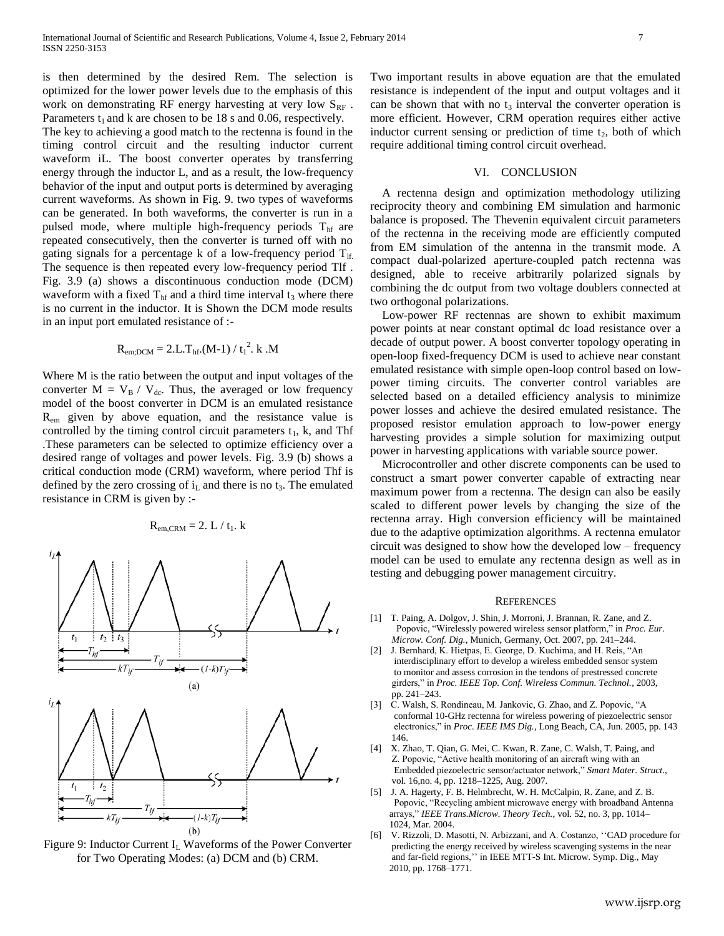is then determined by the desired Rem. The selection is optimized for the lower power levels due to the emphasis of this work on demonstrating RF energy harvesting at very low  $S_{RF}$ . Parameters  $t_1$  and k are chosen to be 18 s and 0.06, respectively.

The key to achieving a good match to the rectenna is found in the timing control circuit and the resulting inductor current waveform iL. The boost converter operates by transferring energy through the inductor L, and as a result, the low-frequency behavior of the input and output ports is determined by averaging current waveforms. As shown in Fig. 9. two types of waveforms can be generated. In both waveforms, the converter is run in a pulsed mode, where multiple high-frequency periods  $T<sub>hf</sub>$  are repeated consecutively, then the converter is turned off with no gating signals for a percentage k of a low-frequency period  $T_{\text{lf}}$ . The sequence is then repeated every low-frequency period Tlf . Fig. 3.9 (a) shows a discontinuous conduction mode (DCM) waveform with a fixed  $T<sub>hf</sub>$  and a third time interval  $t<sub>3</sub>$  where there is no current in the inductor. It is Shown the DCM mode results in an input port emulated resistance of :-

$$
R_{em;DCM} = 2.L.T_{hf}.(M-1) / t_1^2. k.M
$$

Where M is the ratio between the output and input voltages of the converter  $M = V_B / V_{dc}$ . Thus, the averaged or low frequency model of the boost converter in DCM is an emulated resistance  $R_{\text{em}}$  given by above equation, and the resistance value is controlled by the timing control circuit parameters  $t_1$ , k, and Thf .These parameters can be selected to optimize efficiency over a desired range of voltages and power levels. Fig. 3.9 (b) shows a critical conduction mode (CRM) waveform, where period Thf is defined by the zero crossing of  $i<sub>L</sub>$  and there is no  $t<sub>3</sub>$ . The emulated resistance in CRM is given by :-

$$
R_{em,CRM} = 2. L / t_1. k
$$



Figure 9: Inductor Current  $I_L$  Waveforms of the Power Converter for Two Operating Modes: (a) DCM and (b) CRM.

Two important results in above equation are that the emulated resistance is independent of the input and output voltages and it can be shown that with no  $t_3$  interval the converter operation is more efficient. However, CRM operation requires either active inductor current sensing or prediction of time  $t_2$ , both of which require additional timing control circuit overhead.

## VI. CONCLUSION

 A rectenna design and optimization methodology utilizing reciprocity theory and combining EM simulation and harmonic balance is proposed. The Thevenin equivalent circuit parameters of the rectenna in the receiving mode are efficiently computed from EM simulation of the antenna in the transmit mode. A compact dual-polarized aperture-coupled patch rectenna was designed, able to receive arbitrarily polarized signals by combining the dc output from two voltage doublers connected at two orthogonal polarizations.

 Low-power RF rectennas are shown to exhibit maximum power points at near constant optimal dc load resistance over a decade of output power. A boost converter topology operating in open-loop fixed-frequency DCM is used to achieve near constant emulated resistance with simple open-loop control based on lowpower timing circuits. The converter control variables are selected based on a detailed efficiency analysis to minimize power losses and achieve the desired emulated resistance. The proposed resistor emulation approach to low-power energy harvesting provides a simple solution for maximizing output power in harvesting applications with variable source power.

 Microcontroller and other discrete components can be used to construct a smart power converter capable of extracting near maximum power from a rectenna. The design can also be easily scaled to different power levels by changing the size of the rectenna array. High conversion efficiency will be maintained due to the adaptive optimization algorithms. A rectenna emulator circuit was designed to show how the developed low – frequency model can be used to emulate any rectenna design as well as in testing and debugging power management circuitry.

#### **REFERENCES**

- [1] T. Paing, A. Dolgov, J. Shin, J. Morroni, J. Brannan, R. Zane, and Z. Popovic, "Wirelessly powered wireless sensor platform," in *Proc. Eur. Microw. Conf. Dig.*, Munich, Germany, Oct. 2007, pp. 241–244.
- [2] J. Bernhard, K. Hietpas, E. George, D. Kuchima, and H. Reis, "An interdisciplinary effort to develop a wireless embedded sensor system to monitor and assess corrosion in the tendons of prestressed concrete girders," in *Proc. IEEE Top. Conf. Wireless Commun. Technol.*, 2003, pp. 241–243.
- [3] C. Walsh, S. Rondineau, M. Jankovic, G. Zhao, and Z. Popovic, "A conformal 10-GHz rectenna for wireless powering of piezoelectric sensor electronics," in *Proc. IEEE IMS Dig.*, Long Beach, CA, Jun. 2005, pp. 143 146.
- [4] X. Zhao, T. Qian, G. Mei, C. Kwan, R. Zane, C. Walsh, T. Paing, and Z. Popovic, "Active health monitoring of an aircraft wing with an Embedded piezoelectric sensor/actuator network," *Smart Mater. Struct.*, vol. 16,no. 4, pp. 1218–1225, Aug. 2007.
- [5] J. A. Hagerty, F. B. Helmbrecht, W. H. McCalpin, R. Zane, and Z. B. Popovic, "Recycling ambient microwave energy with broadband Antenna arrays," *IEEE Trans.Microw. Theory Tech.*, vol. 52, no. 3, pp. 1014– 1024, Mar. 2004.
- [6] V. Rizzoli, D. Masotti, N. Arbizzani, and A. Costanzo, ''CAD procedure for predicting the energy received by wireless scavenging systems in the near and far-field regions,'' in IEEE MTT-S Int. Microw. Symp. Dig., May 2010, pp. 1768–1771.